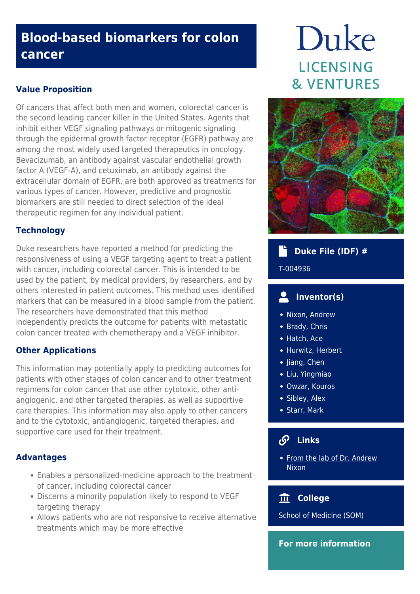## **Blood-based biomarkers for colon cancer**

## **Value Proposition**

Of cancers that affect both men and women, colorectal cancer is the second leading cancer killer in the United States. Agents that inhibit either VEGF signaling pathways or mitogenic signaling through the epidermal growth factor receptor (EGFR) pathway are among the most widely used targeted therapeutics in oncology. Bevacizumab, an antibody against vascular endothelial growth factor A (VEGF-A), and cetuximab, an antibody against the extracellular domain of EGFR, are both approved as treatments for various types of cancer. However, predictive and prognostic biomarkers are still needed to direct selection of the ideal therapeutic regimen for any individual patient.

## **Technology**

Duke researchers have reported a method for predicting the responsiveness of using a VEGF targeting agent to treat a patient with cancer, including colorectal cancer. This is intended to be used by the patient, by medical providers, by researchers, and by others interested in patient outcomes. This method uses identified markers that can be measured in a blood sample from the patient. The researchers have demonstrated that this method independently predicts the outcome for patients with metastatic colon cancer treated with chemotherapy and a VEGF inhibitor.

## **Other Applications**

This information may potentially apply to predicting outcomes for patients with other stages of colon cancer and to other treatment regimens for colon cancer that use other cytotoxic, other antiangiogenic, and other targeted therapies, as well as supportive care therapies. This information may also apply to other cancers and to the cytotoxic, antiangiogenic, targeted therapies, and supportive care used for their treatment.

## **Advantages**

- Enables a personalized-medicine approach to the treatment of cancer, including colorectal cancer
- Discerns a minority population likely to respond to VEGF targeting therapy
- Allows patients who are not responsive to receive alternative treatments which may be more effective

# Duke **LICENSING & VENTURES**



#### d,  **Duke File (IDF) #**

T-004936

#### $\mathbf{Z}_1$  **Inventor(s)**

- Nixon, Andrew
- Brady, Chris
- Hatch, Ace
- Hurwitz, Herbert
- Jiang, Chen
- Liu, Yingmiao
- Owzar, Kouros
- Sibley, Alex
- Starr, Mark

## **Links**

• [From the lab of Dr. Andrew](https://scholars.duke.edu/person/anixon) [Nixon](https://scholars.duke.edu/person/anixon)

## **College**

School of Medicine (SOM)

## **For more information**